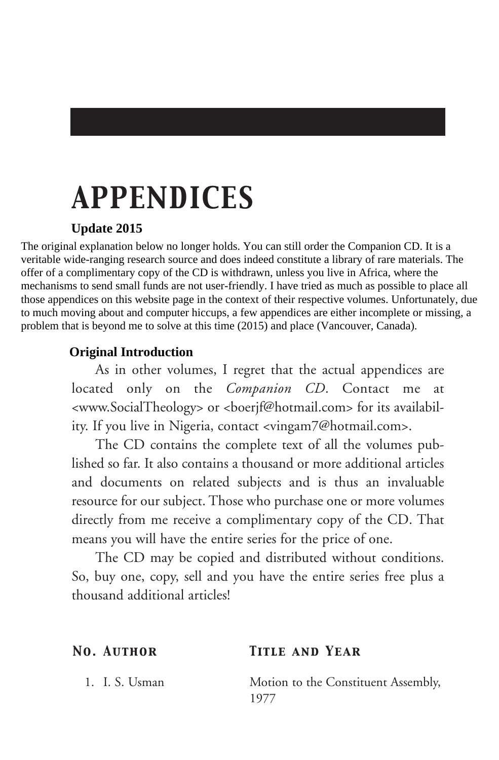# *APPENDICES*

### **Update 2015**

The original explanation below no longer holds. You can still order the Companion CD. It is a veritable wide-ranging research source and does indeed constitute a library of rare materials. The offer of a complimentary copy of the CD is withdrawn, unless you live in Africa, where the mechanisms to send small funds are not user-friendly. I have tried as much as possible to place all those appendices on this website page in the context of their respective volumes. Unfortunately, due to much moving about and computer hiccups, a few appendices are either incomplete or missing, a problem that is beyond me to solve at this time (2015) and place (Vancouver, Canada).

### **Original Introduction**

As in other volumes, I regret that the actual appendices are located only on the *Companion CD*. Contact me at <www.SocialTheology> or <boerjf@hotmail.com> for its availability. If you live in Nigeria, contact <vingam7@hotmail.com>.

The CD contains the complete text of all the volumes published so far. It also contains a thousand or more additional articles and documents on related subjects and is thus an invaluable resource for our subject. Those who purchase one or more volumes directly from me receive a complimentary copy of the CD. That means you will have the entire series for the price of one.

The CD may be copied and distributed without conditions. So, buy one, copy, sell and you have the entire series free plus a thousand additional articles!

### *No. Author Title and Year*

1. I. S. Usman Motion to the Constituent Assembly, 1977